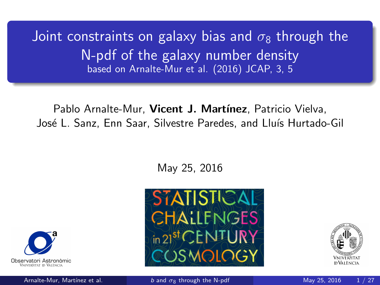<span id="page-0-0"></span>Joint constraints on galaxy bias and  $\sigma_8$  through the N-pdf of the galaxy number density based on Arnalte-Mur et al. (2016) JCAP, 3, 5

Pablo Arnalte-Mur. Vicent J. Martínez, Patricio Vielva, José L. Sanz, Enn Saar, Silvestre Paredes, and Lluís Hurtado-Gil

May 25, 2016







Arnalte-Mur, Martínez et al. b and  $\sigma_8$  [through the N-pdf](#page-30-0) May 25, 2016 1/27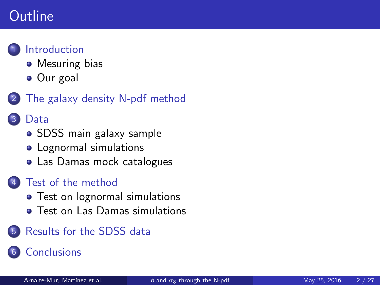# **Outline**



#### **[Introduction](#page-2-0)**

- [Mesuring bias](#page-2-0)
- [Our goal](#page-3-0)
- [The galaxy density N-pdf method](#page-4-0)

#### [Data](#page-9-0)

- [SDSS main galaxy sample](#page-9-0)
- [Lognormal simulations](#page-11-0)
- [Las Damas mock catalogues](#page-16-0)

#### [Test of the method](#page-19-0)

- [Test on lognormal simulations](#page-19-0)
- **[Test on Las Damas simulations](#page-21-0)**
- 5 [Results for the SDSS data](#page-23-0)

#### **[Conclusions](#page-27-0)**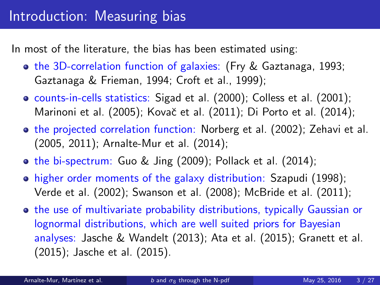<span id="page-2-0"></span>In most of the literature, the bias has been estimated using:

- **o** the 3D-correlation function of galaxies: (Fry & Gaztanaga, 1993; Gaztanaga & Frieman, 1994; Croft et al., 1999);
- counts-in-cells statistics: Sigad et al. (2000); Colless et al. (2001); Marinoni et al. (2005); Kovač et al. (2011); Di Porto et al. (2014);
- **•** the projected correlation function: Norberg et al. (2002); Zehavi et al. (2005, 2011); Arnalte-Mur et al. (2014);
- the bi-spectrum: Guo & Jing (2009); Pollack et al. (2014);
- higher order moments of the galaxy distribution: Szapudi (1998); Verde et al. (2002); Swanson et al. (2008); McBride et al. (2011);
- **•** the use of multivariate probability distributions, typically Gaussian or lognormal distributions, which are well suited priors for Bayesian analyses: Jasche & Wandelt (2013); Ata et al. (2015); Granett et al. (2015); Jasche et al. (2015).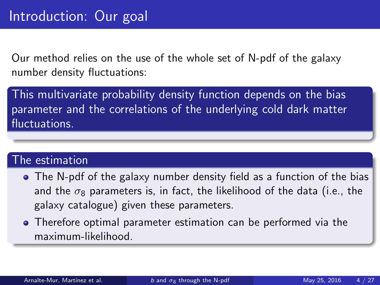<span id="page-3-0"></span>Our method relies on the use of the whole set of N-pdf of the galaxy number density fluctuations:

This multivariate probability density function depends on the bias parameter and the correlations of the underlying cold dark matter fluctuations.

#### The estimation

- The N-pdf of the galaxy number density field as a function of the bias and the  $\sigma_8$  parameters is, in fact, the likelihood of the data (i.e., the galaxy catalogue) given these parameters.
- Therefore optimal parameter estimation can be performed via the maximum-likelihood.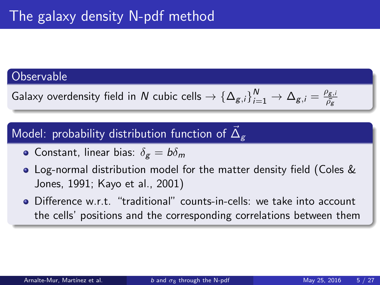#### <span id="page-4-0"></span>**Observable**

Galaxy overdensity field in  $N$  cubic cells  $\to$   $\{\Delta_{g,i}\}_{i=1}^N \to \Delta_{g,i}=\frac{\rho_{g,i}}{\bar{\rho_g}}$  $\bar{\rho_{\sf g}}$ 

# Model: probability distribution function of  $\vec{\Delta}_g$

- Constant, linear bias:  $\delta_{\mathbf{g}} = b \delta_{\mathbf{m}}$
- Log-normal distribution model for the matter density field (Coles & Jones, 1991; Kayo et al., 2001)
- Difference w.r.t. "traditional" counts-in-cells: we take into account the cells' positions and the corresponding correlations between them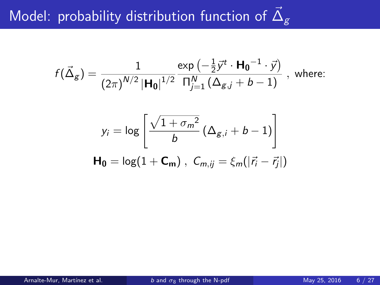# Model: probability distribution function of  $\vec{\Delta}_g$

$$
f(\vec{\Delta}_g) = \frac{1}{(2\pi)^{N/2} |\mathbf{H_0}|^{1/2}} \frac{\exp(-\frac{1}{2}\vec{y}^t \cdot \mathbf{H_0}^{-1} \cdot \vec{y})}{\prod_{j=1}^N (\Delta_{g,j} + b - 1)}, \text{ where:}
$$

$$
y_i = \log \left[ \frac{\sqrt{1 + \sigma_m^2}}{b} \left( \Delta_{g,i} + b - 1 \right) \right]
$$
  

$$
\mathbf{H_0} = \log(1 + \mathbf{C_m}), \ \ C_{m,ij} = \xi_m(|\vec{r_i} - \vec{r_j}|)
$$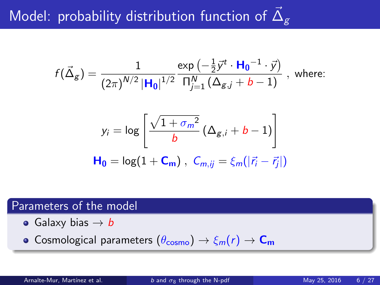# Model: probability distribution function of  $\vec{\Delta}_g$

$$
f(\vec{\Delta}_g) = \frac{1}{(2\pi)^{N/2} |\mathbf{H}_0|^{1/2}} \frac{\exp(-\frac{1}{2}\vec{y}^t \cdot \mathbf{H}_0^{-1} \cdot \vec{y})}{\prod_{j=1}^N (\Delta_{g,j} + b - 1)}, \text{ where:}
$$

$$
y_i = \log \left[ \frac{\sqrt{1 + \sigma_m^2}}{b} \left( \Delta_{g,i} + b - 1 \right) \right]
$$
  

$$
\mathbf{H_0} = \log(1 + \mathbf{C_m}), \ C_{m,ij} = \xi_m(|\vec{r_i} - \vec{r_j}|)
$$

#### Parameters of the model

- Galaxy bias  $\rightarrow b$
- **•** Cosmological parameters  $(\theta_{\text{cosmo}}) \rightarrow \xi_m(r) \rightarrow C_m$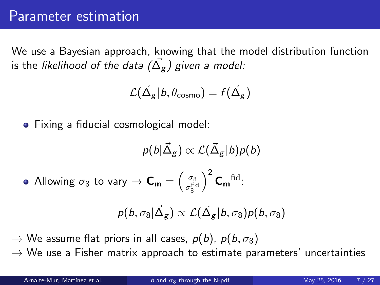#### Parameter estimation

We use a Bayesian approach, knowing that the model distribution function is the *likelihood of the data (* $\vec{\Delta_g}$ *) given a model:* 

$$
\mathcal{L}(\vec{\Delta}_\mathcal{g}|b,\theta_\mathsf{cosmo}) = f(\vec{\Delta}_\mathcal{g})
$$

• Fixing a fiducial cosmological model:

$$
p(b|\vec{\Delta}_{g}) \propto \mathcal{L}(\vec{\Delta}_{g}|b)p(b)
$$
  
• Allowing  $\sigma_{8}$  to vary  $\rightarrow$   $\mathbf{C}_{m} = \left(\frac{\sigma_{8}}{\sigma_{8}^{\text{fid}}}\right)^{2} \mathbf{C}_{m}^{\text{ fid}}.$ 

$$
p(b,\sigma_8|\vec{\Delta}_g) \propto \mathcal{L}(\vec{\Delta}_g|b,\sigma_8)p(b,\sigma_8)
$$

 $\rightarrow$  We assume flat priors in all cases,  $p(b)$ ,  $p(b, \sigma_8)$ 

 $\rightarrow$  We use a Fisher matrix approach to estimate parameters' uncertainties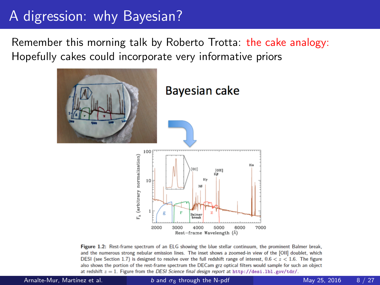# A digression: why Bayesian?

Remember this morning talk by Roberto Trotta: the cake analogy: Hopefully cakes could incorporate very informative priors



Figure 1.2: Rest-frame spectrum of an ELG showing the blue stellar continuum, the prominent Balmer break, and the numerous strong nebular emission lines. The inset shows a zoomed-in view of the [OII] doublet, which DESI (see Section 1.7) is designed to resolve over the full redshift range of interest,  $0.6 < z < 1.6$ . The figure also shows the portion of the rest-frame spectrum the DECam grz optical filters would sample for such an object at redshift  $z = 1$ . Figure from the DESI Science final design report at http://desi.lbl.gov/tdr/.

Arnalte-Mur, Martínez et al. b and  $\sigma_8$  [through the N-pdf](#page-0-0) May 25, 2016 8 / 27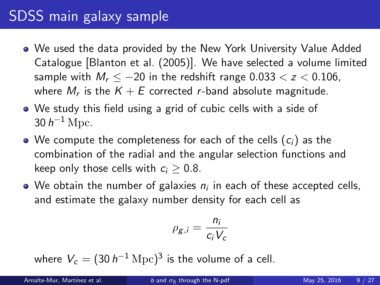# <span id="page-9-0"></span>SDSS main galaxy sample

- We used the data provided by the New York University Value Added Catalogue [Blanton et al. (2005)]. We have selected a volume limited sample with  $M_r \le -20$  in the redshift range  $0.033 < z < 0.106$ , where  $M_r$  is the  $K+E$  corrected *r*-band absolute magnitude.
- We study this field using a grid of cubic cells with a side of 30  $h^{-1}$  Mpc.
- We compute the completeness for each of the cells  $(c_i)$  as the combination of the radial and the angular selection functions and keep only those cells with  $c_i > 0.8$ .
- We obtain the number of galaxies  $n_i$  in each of these accepted cells, and estimate the galaxy number density for each cell as

$$
\rho_{g,i} = \frac{n_i}{c_i V_c}
$$

where  $V_c=(30\,h^{-1}\,{\rm Mpc})^3$  is the volume of a cell.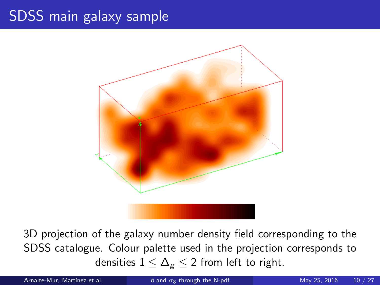# SDSS main galaxy sample



3D projection of the galaxy number density field corresponding to the SDSS catalogue. Colour palette used in the projection corresponds to densities  $1 \leq \Delta_{g} \leq 2$  from left to right.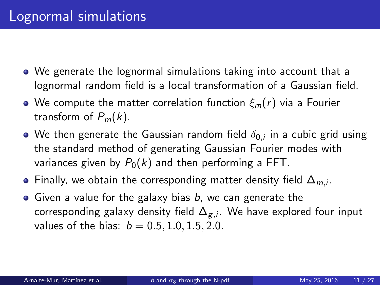- <span id="page-11-0"></span>We generate the lognormal simulations taking into account that a lognormal random field is a local transformation of a Gaussian field.
- We compute the matter correlation function  $\xi_m(r)$  via a Fourier transform of  $P_m(k)$ .
- We then generate the Gaussian random field  $\delta_{0,i}$  in a cubic grid using the standard method of generating Gaussian Fourier modes with variances given by  $P_0(k)$  and then performing a FFT.
- Finally, we obtain the corresponding matter density field  $\Delta_{m,i}.$
- Given a value for the galaxy bias  $b$ , we can generate the corresponding galaxy density field  $\Delta_{\mathcal{g},i}$ . We have explored four input values of the bias:  $b = 0.5, 1.0, 1.5, 2.0$ .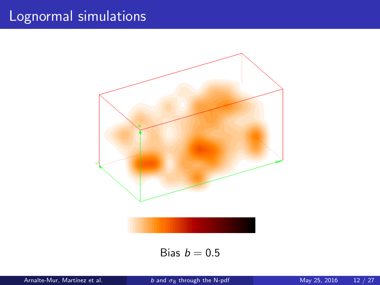

Bias  $b = 0.5$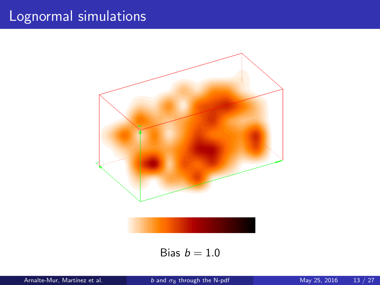

Bias  $b = 1.0$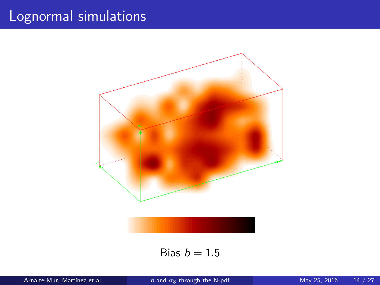

Bias  $b = 1.5$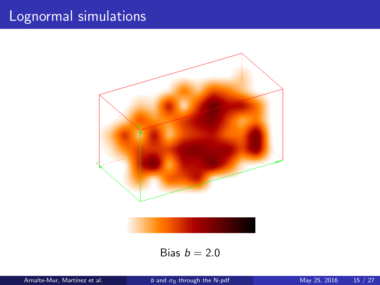

Bias  $b = 2.0$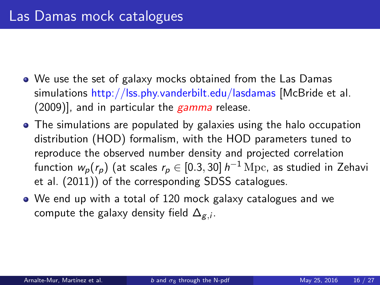- <span id="page-16-0"></span>We use the set of galaxy mocks obtained from the Las Damas simulations http://lss.phy.vanderbilt.edu/lasdamas [McBride et al.  $(2009)$ ], and in particular the  $gamma$  release.
- The simulations are populated by galaxies using the halo occupation distribution (HOD) formalism, with the HOD parameters tuned to reproduce the observed number density and projected correlation function  $w_{\rho}(r_{\rho})$  (at scales  $r_{\rho}\in[0.3,30]\ h^{-1}\,{\rm Mpc}$ , as studied in Zehavi et al. (2011)) of the corresponding SDSS catalogues.
- We end up with a total of 120 mock galaxy catalogues and we compute the galaxy density field  $\Delta_{\mathcal{g},i}.$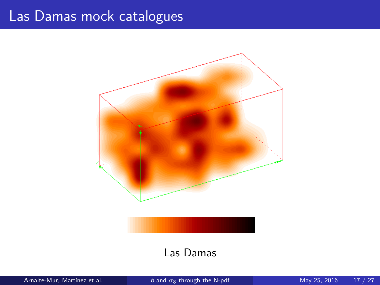## Las Damas mock catalogues



#### Las Damas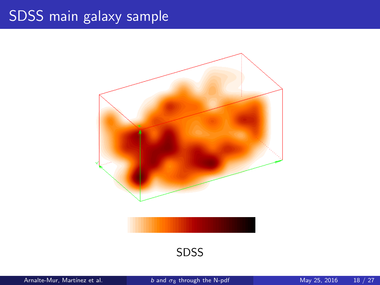# SDSS main galaxy sample



SDSS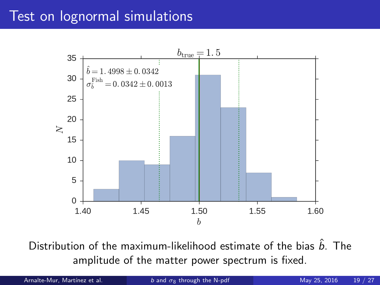## <span id="page-19-0"></span>Test on lognormal simulations



Distribution of the maximum-likelihood estimate of the bias  $\hat{b}$ . The amplitude of the matter power spectrum is fixed.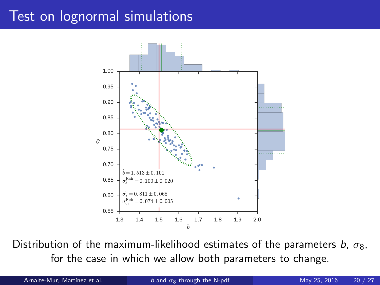## Test on lognormal simulations



Distribution of the maximum-likelihood estimates of the parameters b,  $\sigma_8$ , for the case in which we allow both parameters to change.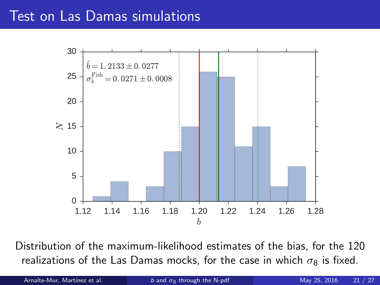#### <span id="page-21-0"></span>Test on Las Damas simulations



Distribution of the maximum-likelihood estimates of the bias, for the 120 realizations of the Las Damas mocks, for the case in which  $\sigma_8$  is fixed.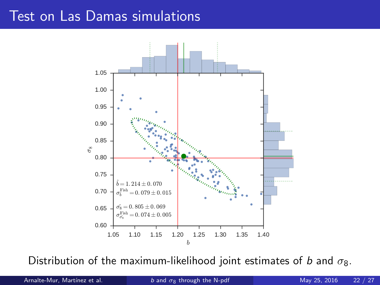## Test on Las Damas simulations



Distribution of the maximum-likelihood joint estimates of b and  $\sigma_8$ .

Arnalte-Mur, Martínez et al. b and  $\sigma_8$  [through the N-pdf](#page-0-0) May 25, 2016 22 / 27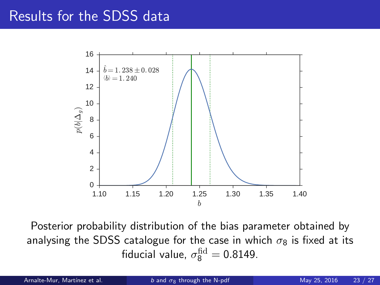#### <span id="page-23-0"></span>Results for the SDSS data



Posterior probability distribution of the bias parameter obtained by analysing the SDSS catalogue for the case in which  $\sigma_8$  is fixed at its fiducial value,  $\sigma_8^{\rm fid}=$  0.8149.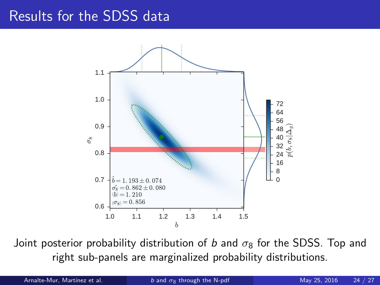#### Results for the SDSS data



Joint posterior probability distribution of b and  $\sigma_8$  for the SDSS. Top and right sub-panels are marginalized probability distributions.

Arnalte-Mur, Martínez et al. b and  $\sigma_8$  [through the N-pdf](#page-0-0) May 25, 2016 24 / 27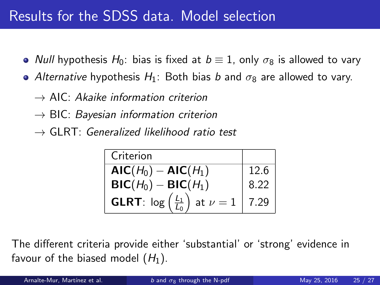# Results for the SDSS data. Model selection

- Null hypothesis  $H_0$ : bias is fixed at  $b \equiv 1$ , only  $\sigma_8$  is allowed to vary
- Alternative hypothesis  $H_1$ : Both bias b and  $\sigma_8$  are allowed to vary.
	- $\rightarrow$  AIC: Akaike information criterion
	- $\rightarrow$  BIC: Bayesian information criterion
	- $\rightarrow$  GLRT: Generalized likelihood ratio test

| Criterion                                                     |              |
|---------------------------------------------------------------|--------------|
| $AIC(H0) - AIC(H1)$                                           | 12.6         |
| $BIC(H_0) - BIC(H_1)$                                         | 8.22         |
| <b>GLRT</b> : $\log\left(\frac{L_1}{L_0}\right)$ at $\nu = 1$ | $\vert$ 7.29 |

The different criteria provide either 'substantial' or 'strong' evidence in favour of the biased model  $(H_1)$ .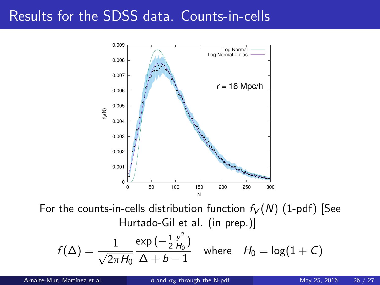# Results for the SDSS data. Counts-in-cells



For the counts-in-cells distribution function  $f_V(N)$  (1-pdf) [See Hurtado-Gil et al. (in prep.)] 2

$$
f(\Delta) = \frac{1}{\sqrt{2\pi H_0}} \frac{\exp\left(-\frac{1}{2}\frac{y^2}{H_0}\right)}{\Delta + b - 1} \quad \text{where} \quad H_0 = \log(1 + C)
$$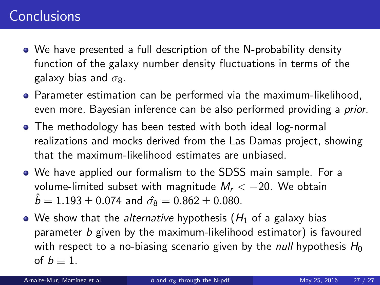# <span id="page-27-0"></span>**Conclusions**

- We have presented a full description of the N-probability density function of the galaxy number density fluctuations in terms of the galaxy bias and  $\sigma_8$ .
- **•** Parameter estimation can be performed via the maximum-likelihood, even more, Bayesian inference can be also performed providing a prior.
- The methodology has been tested with both ideal log-normal realizations and mocks derived from the Las Damas project, showing that the maximum-likelihood estimates are unbiased.
- We have applied our formalism to the SDSS main sample. For a volume-limited subset with magnitude  $M_r < -20$ . We obtain  $\hat{b} = 1.193 \pm 0.074$  and  $\hat{\sigma_8} = 0.862 \pm 0.080$ .
- $\bullet$  We show that the *alternative* hypothesis ( $H_1$  of a galaxy bias parameter b given by the maximum-likelihood estimator) is favoured with respect to a no-biasing scenario given by the *null* hypothesis  $H_0$ of  $b \equiv 1$ .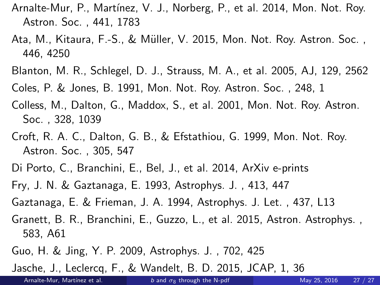- Arnalte-Mur, P., Martínez, V. J., Norberg, P., et al. 2014, Mon. Not. Roy. Astron. Soc. , 441, 1783
- Ata, M., Kitaura, F.-S., & M¨uller, V. 2015, Mon. Not. Roy. Astron. Soc. , 446, 4250
- Blanton, M. R., Schlegel, D. J., Strauss, M. A., et al. 2005, AJ, 129, 2562
- Coles, P. & Jones, B. 1991, Mon. Not. Roy. Astron. Soc. , 248, 1
- Colless, M., Dalton, G., Maddox, S., et al. 2001, Mon. Not. Roy. Astron. Soc. , 328, 1039
- Croft, R. A. C., Dalton, G. B., & Efstathiou, G. 1999, Mon. Not. Roy. Astron. Soc. , 305, 547
- Di Porto, C., Branchini, E., Bel, J., et al. 2014, ArXiv e-prints
- Fry, J. N. & Gaztanaga, E. 1993, Astrophys. J. , 413, 447
- Gaztanaga, E. & Frieman, J. A. 1994, Astrophys. J. Let. , 437, L13
- Granett, B. R., Branchini, E., Guzzo, L., et al. 2015, Astron. Astrophys. , 583, A61
- Guo, H. & Jing, Y. P. 2009, Astrophys. J. , 702, 425

Jasche, J., Leclercq, F., & Wandelt, B. D. 2015, JCAP, 1, 36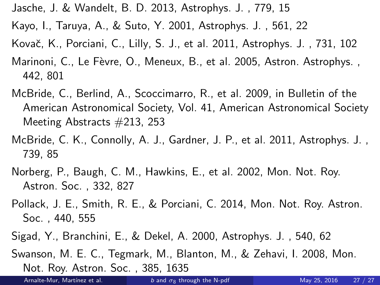- Jasche, J. & Wandelt, B. D. 2013, Astrophys. J. , 779, 15
- Kayo, I., Taruya, A., & Suto, Y. 2001, Astrophys. J. , 561, 22
- Kovač, K., Porciani, C., Lilly, S. J., et al. 2011, Astrophys. J., 731, 102
- Marinoni, C., Le Fèvre, O., Meneux, B., et al. 2005, Astron. Astrophys., 442, 801
- McBride, C., Berlind, A., Scoccimarro, R., et al. 2009, in Bulletin of the American Astronomical Society, Vol. 41, American Astronomical Society Meeting Abstracts #213, 253
- McBride, C. K., Connolly, A. J., Gardner, J. P., et al. 2011, Astrophys. J. , 739, 85
- Norberg, P., Baugh, C. M., Hawkins, E., et al. 2002, Mon. Not. Roy. Astron. Soc. , 332, 827
- Pollack, J. E., Smith, R. E., & Porciani, C. 2014, Mon. Not. Roy. Astron. Soc. , 440, 555
- Sigad, Y., Branchini, E., & Dekel, A. 2000, Astrophys. J. , 540, 62
- Swanson, M. E. C., Tegmark, M., Blanton, M., & Zehavi, I. 2008, Mon. Not. Roy. Astron. Soc. , 385, 1635

Arnalte-Mur, Martínez et al. b and  $\sigma_8$  [through the N-pdf](#page-0-0) May 25, 2016 27 / 27